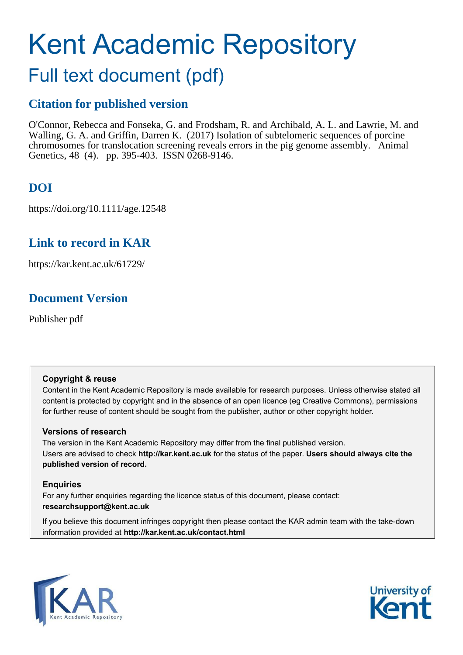# Kent Academic Repository

## Full text document (pdf)

## **Citation for published version**

O'Connor, Rebecca and Fonseka, G. and Frodsham, R. and Archibald, A. L. and Lawrie, M. and Walling, G. A. and Griffin, Darren K. (2017) Isolation of subtelomeric sequences of porcine chromosomes for translocation screening reveals errors in the pig genome assembly. Animal Genetics, 48 (4). pp. 395-403. ISSN 0268-9146.

## **DOI**

https://doi.org/10.1111/age.12548

## **Link to record in KAR**

https://kar.kent.ac.uk/61729/

## **Document Version**

Publisher pdf

#### **Copyright & reuse**

Content in the Kent Academic Repository is made available for research purposes. Unless otherwise stated all content is protected by copyright and in the absence of an open licence (eg Creative Commons), permissions for further reuse of content should be sought from the publisher, author or other copyright holder.

#### **Versions of research**

The version in the Kent Academic Repository may differ from the final published version. Users are advised to check **http://kar.kent.ac.uk** for the status of the paper. **Users should always cite the published version of record.**

#### **Enquiries**

For any further enquiries regarding the licence status of this document, please contact: **researchsupport@kent.ac.uk**

If you believe this document infringes copyright then please contact the KAR admin team with the take-down information provided at **http://kar.kent.ac.uk/contact.html**



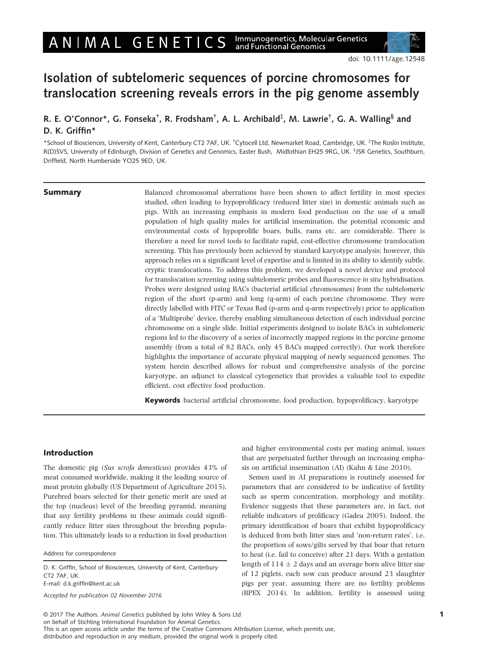#### ANIMAL GENETICS Immunogenetics, Molecular Genetics<br>and Functional Genomics

## Isolation of subtelomeric sequences of porcine chromosomes for translocation screening reveals errors in the pig genome assembly

### R. E. O'Connor\*, G. Fonseka $^\dagger$ , R. Frodsham $^\dagger$ , A. L. Archibald $^\ddagger$ , M. Lawrie $^\dagger$ , G. A. Walling $^{\S}$  and D. K. Griffin\*

\*School of Biosciences, University of Kent, Canterbury CT2 7AF, UK. †Cytocell Ltd, Newmarket Road, Cambridge, UK. ‡ The Roslin Institute, R(D)SVS, University of Edinburgh, Division of Genetics and Genomics, Easter Bush, Midlothian EH25 9RG, UK. <sup>\$</sup>JSR Genetics, Southburn, Driffield, North Humberside YO25 9ED, UK.

**Summary** Balanced chromosomal aberrations have been shown to affect fertility in most species studied, often leading to hypoprolificacy (reduced litter size) in domestic animals such as pigs. With an increasing emphasis in modern food production on the use of a small population of high quality males for artificial insemination, the potential economic and environmental costs of hypoprolific boars, bulls, rams etc. are considerable. There is therefore a need for novel tools to facilitate rapid, cost-effective chromosome translocation screening. This has previously been achieved by standard karyotype analysis; however, this approach relies on a significant level of expertise and is limited in its ability to identify subtle, cryptic translocations. To address this problem, we developed a novel device and protocol for translocation screening using subtelomeric probes and fluorescence *in situ* hybridisation. Probes were designed using BACs (bacterial artificial chromosomes) from the subtelomeric region of the short (p-arm) and long (q-arm) of each porcine chromosome. They were directly labelled with FITC or Texas Red (p-arm and q-arm respectively) prior to application of a 'Multiprobe' device, thereby enabling simultaneous detection of each individual porcine chromosome on a single slide. Initial experiments designed to isolate BACs in subtelomeric regions led to the discovery of a series of incorrectly mapped regions in the porcine genome assembly (from a total of 82 BACs, only 45 BACs mapped correctly). Our work therefore highlights the importance of accurate physical mapping of newly sequenced genomes. The system herein described allows for robust and comprehensive analysis of the porcine karyotype, an adjunct to classical cytogenetics that provides a valuable tool to expedite efficient, cost effective food production.

Keywords bacterial artificial chromosome, food production, hypoprolificacy, karyotype

#### Introduction

The domestic pig (*Sus scrofa domesticus*) provides 43% of meat consumed worldwide, making it the leading source of meat protein globally (US Department of Agriculture 2015). Purebred boars selected for their genetic merit are used at the top (nucleus) level of the breeding pyramid, meaning that any fertility problems in these animals could significantly reduce litter sizes throughout the breeding population. This ultimately leads to a reduction in food production

Address for correspondence

D. K. Griffin, School of Biosciences, University of Kent, Canterbury CT2 7AF, UK. E-mail: d.k.griffin@kent.ac.uk

Accepted for publication 02 November 2016

and higher environmental costs per mating animal, issues that are perpetuated further through an increasing emphasis on artificial insemination (AI) (Kahn & Line 2010).

Semen used in AI preparations is routinely assessed for parameters that are considered to be indicative of fertility such as sperm concentration, morphology and motility. Evidence suggests that these parameters are, in fact, not reliable indicators of prolificacy (Gadea 2005). Indeed, the primary identification of boars that exhibit hypoprolificacy is deduced from both litter sizes and 'non-return rates', i.e. the proportion of sows/gilts served by that boar that return to heat (i.e. fail to conceive) after 21 days. With a gestation length of  $114 \pm 2$  days and an average born alive litter size of 12 piglets, each sow can produce around 23 slaughter pigs per year, assuming there are no fertility problems (BPEX 2014). In addition, fertility is assessed using

© 2017 The Authors. Animal Genetics published by John Wiley & Sons Ltd 1

on behalf of Stichting International Foundation for Animal Genetics.

This is an open access article under the terms of the [Creative Commons Attribution](http://creativecommons.org/licenses/by/4.0/) License, which permits use,

distribution and reproduction in any medium, provided the original work is properly cited.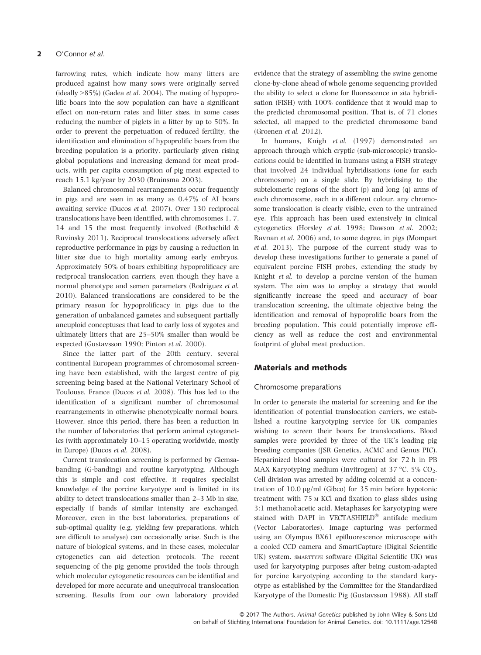#### 2 O'Connor et al.

farrowing rates, which indicate how many litters are produced against how many sows were originally served (ideally >85%) (Gadea *et al.* 2004). The mating of hypoprolific boars into the sow population can have a significant effect on non-return rates and litter sizes, in some cases reducing the number of piglets in a litter by up to 50%. In order to prevent the perpetuation of reduced fertility, the identification and elimination of hypoprolific boars from the breeding population is a priority, particularly given rising global populations and increasing demand for meat products, with per capita consumption of pig meat expected to reach 15.1 kg/year by 2030 (Bruinsma 2003).

Balanced chromosomal rearrangements occur frequently in pigs and are seen in as many as 0.47% of AI boars awaiting service (Ducos *et al.* 2007). Over 130 reciprocal translocations have been identified, with chromosomes 1, 7, 14 and 15 the most frequently involved (Rothschild & Ruvinsky 2011). Reciprocal translocations adversely affect reproductive performance in pigs by causing a reduction in litter size due to high mortality among early embryos. Approximately 50% of boars exhibiting hypoprolificacy are reciprocal translocation carriers, even though they have a normal phenotype and semen parameters (Rodríguez *et al.*) 2010). Balanced translocations are considered to be the primary reason for hypoprolificacy in pigs due to the generation of unbalanced gametes and subsequent partially aneuploid conceptuses that lead to early loss of zygotes and ultimately litters that are 25–50% smaller than would be expected (Gustavsson 1990; Pinton *et al.* 2000).

Since the latter part of the 20th century, several continental European programmes of chromosomal screening have been established, with the largest centre of pig screening being based at the National Veterinary School of Toulouse, France (Ducos *et al.* 2008). This has led to the identification of a significant number of chromosomal rearrangements in otherwise phenotypically normal boars. However, since this period, there has been a reduction in the number of laboratories that perform animal cytogenetics (with approximately 10–15 operating worldwide, mostly in Europe) (Ducos *et al.* 2008).

Current translocation screening is performed by Giemsabanding (G-banding) and routine karyotyping. Although this is simple and cost effective, it requires specialist knowledge of the porcine karyotype and is limited in its ability to detect translocations smaller than 2–3 Mb in size, especially if bands of similar intensity are exchanged. Moreover, even in the best laboratories, preparations of sub-optimal quality (e.g. yielding few preparations, which are difficult to analyse) can occasionally arise. Such is the nature of biological systems, and in these cases, molecular cytogenetics can aid detection protocols. The recent sequencing of the pig genome provided the tools through which molecular cytogenetic resources can be identified and developed for more accurate and unequivocal translocation screening. Results from our own laboratory provided

evidence that the strategy of assembling the swine genome clone-by-clone ahead of whole genome sequencing provided the ability to select a clone for fluorescence *in situ* hybridisation (FISH) with 100% confidence that it would map to the predicted chromosomal position. That is, of 71 clones selected, all mapped to the predicted chromosome band (Groenen *et al.* 2012).

In humans, Knigh *et al.* (1997) demonstrated an approach through which cryptic (sub-microscopic) translocations could be identified in humans using a FISH strategy that involved 24 individual hybridisations (one for each chromosome) on a single slide. By hybridising to the subtelomeric regions of the short (p) and long (q) arms of each chromosome, each in a different colour, any chromosome translocation is clearly visible, even to the untrained eye. This approach has been used extensively in clinical cytogenetics (Horsley *et al.* 1998; Dawson *et al.* 2002; Ravnan *et al.* 2006) and, to some degree, in pigs (Mompart *et al.* 2013). The purpose of the current study was to develop these investigations further to generate a panel of equivalent porcine FISH probes, extending the study by Knight *et al.* to develop a porcine version of the human system. The aim was to employ a strategy that would significantly increase the speed and accuracy of boar translocation screening, the ultimate objective being the identification and removal of hypoprolific boars from the breeding population. This could potentially improve efficiency as well as reduce the cost and environmental footprint of global meat production.

#### Materials and methods

#### Chromosome preparations

In order to generate the material for screening and for the identification of potential translocation carriers, we established a routine karyotyping service for UK companies wishing to screen their boars for translocations. Blood samples were provided by three of the UK's leading pig breeding companies (JSR Genetics, ACMC and Genus PIC). Heparinized blood samples were cultured for 72 h in PB MAX Karyotyping medium (Invitrogen) at 37 °C, 5% CO<sub>2</sub>. Cell division was arrested by adding colcemid at a concentration of  $10.0 \mu g/ml$  (Gibco) for  $35 \text{ min}$  before hypotonic treatment with 75 <sup>M</sup> KCl and fixation to glass slides using 3:1 methanol:acetic acid. Metaphases for karyotyping were stained with DAPI in VECTASHIELD® antifade medium (Vector Laboratories). Image capturing was performed using an Olympus BX61 epifluorescence microscope with a cooled CCD camera and SmartCapture (Digital Scientific UK) system. SMARTTYPE software (Digital Scientific UK) was used for karyotyping purposes after being custom-adapted for porcine karyotyping according to the standard karyotype as established by the Committee for the Standardized Karyotype of the Domestic Pig (Gustavsson 1988). All staff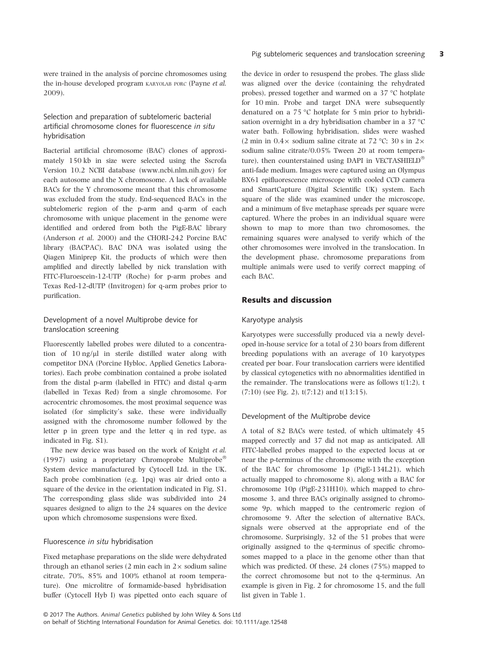were trained in the analysis of porcine chromosomes using the in-house developed program KARYOLAB PORC (Payne *et al.* 2009).

#### Selection and preparation of subtelomeric bacterial artificial chromosome clones for fluorescence in situ hybridisation

Bacterial artificial chromosome (BAC) clones of approximately 150 kb in size were selected using the Sscrofa Version 10.2 NCBI database [\(www.ncbi.nlm.nih.gov\)](http://www.ncbi.nlm.nih.gov) for each autosome and the X chromosome. A lack of available BACs for the Y chromosome meant that this chromosome was excluded from the study. End-sequenced BACs in the subtelomeric region of the p-arm and q-arm of each chromosome with unique placement in the genome were identified and ordered from both the PigE-BAC library (Anderson *et al*. 2000) and the CHORI-242 Porcine BAC library (BACPAC). BAC DNA was isolated using the Qiagen Miniprep Kit, the products of which were then amplified and directly labelled by nick translation with FITC-Fluroescein-12-UTP (Roche) for p-arm probes and Texas Red-12-dUTP (Invitrogen) for q-arm probes prior to purification.

#### Development of a novel Multiprobe device for translocation screening

Fluorescently labelled probes were diluted to a concentration of  $10 \text{ ng}/\mu l$  in sterile distilled water along with competitor DNA (Porcine Hybloc, Applied Genetics Laboratories). Each probe combination contained a probe isolated from the distal p-arm (labelled in FITC) and distal q-arm (labelled in Texas Red) from a single chromosome. For acrocentric chromosomes, the most proximal sequence was isolated (for simplicity's sake, these were individually assigned with the chromosome number followed by the letter p in green type and the letter q in red type, as indicated in Fig. S1).

The new device was based on the work of Knight *et al.* (1997) using a proprietary Chromoprobe Multiprobe<sup>®</sup> System device manufactured by Cytocell Ltd. in the UK. Each probe combination (e.g. 1pq) was air dried onto a square of the device in the orientation indicated in Fig. S1. The corresponding glass slide was subdivided into 24 squares designed to align to the 24 squares on the device upon which chromosome suspensions were fixed.

#### Fluorescence in situ hybridisation

Fixed metaphase preparations on the slide were dehydrated through an ethanol series (2 min each in  $2 \times$  sodium saline citrate, 70%, 85% and 100% ethanol at room temperature). One microlitre of formamide-based hybridisation buffer (Cytocell Hyb I) was pipetted onto each square of

#### Pig subtelomeric sequences and translocation screening 3

the device in order to resuspend the probes. The glass slide was aligned over the device (containing the rehydrated probes), pressed together and warmed on a 37 °C hotplate for 10 min. Probe and target DNA were subsequently denatured on a 75 °C hotplate for 5 min prior to hybridisation overnight in a dry hybridisation chamber in a 37 °C water bath. Following hybridisation, slides were washed (2 min in  $0.4 \times$  sodium saline citrate at 72 °C; 30 s in 2 $\times$ sodium saline citrate/0.05% Tween 20 at room temperature), then counterstained using DAPI in VECTASHIELD® anti-fade medium. Images were captured using an Olympus BX61 epifluorescence microscope with cooled CCD camera and SmartCapture (Digital Scientific UK) system. Each square of the slide was examined under the microscope, and a minimum of five metaphase spreads per square were captured. Where the probes in an individual square were shown to map to more than two chromosomes, the remaining squares were analysed to verify which of the other chromosomes were involved in the translocation. In the development phase, chromosome preparations from multiple animals were used to verify correct mapping of each BAC.

#### Results and discussion

#### Karyotype analysis

Karyotypes were successfully produced via a newly developed in-house service for a total of 230 boars from different breeding populations with an average of 10 karyotypes created per boar. Four translocation carriers were identified by classical cytogenetics with no abnormalities identified in the remainder. The translocations were as follows  $t(1:2)$ , t (7:10) (see Fig. 2), t(7:12) and t(13:15).

#### Development of the Multiprobe device

A total of 82 BACs were tested, of which ultimately 45 mapped correctly and 37 did not map as anticipated. All FITC-labelled probes mapped to the expected locus at or near the p-terminus of the chromosome with the exception of the BAC for chromosome 1p (PigE-134L21), which actually mapped to chromosome 8), along with a BAC for chromosome 10p (PigE-231H10), which mapped to chromosome 3, and three BACs originally assigned to chromosome 9p, which mapped to the centromeric region of chromosome 9. After the selection of alternative BACs, signals were observed at the appropriate end of the chromosome. Surprisingly, 32 of the 51 probes that were originally assigned to the q-terminus of specific chromosomes mapped to a place in the genome other than that which was predicted. Of these, 24 clones (75%) mapped to the correct chromosome but not to the q-terminus. An example is given in Fig. 2 for chromosome 15, and the full list given in Table 1.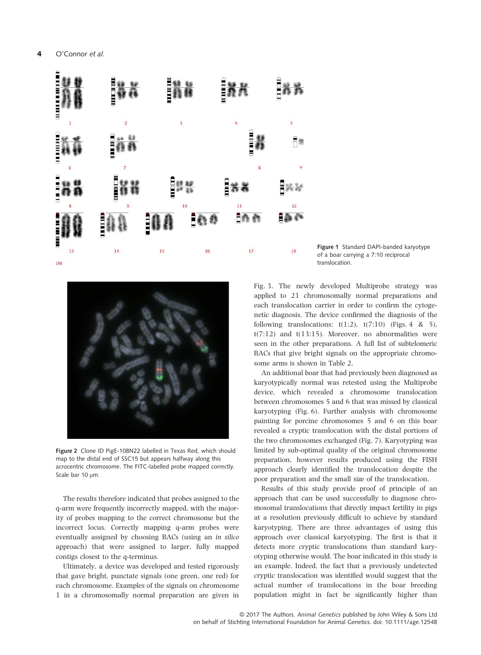

Figure 1 Standard DAPI-banded karyotype of a boar carrying a 7:10 reciprocal translocation.



Figure 2 Clone ID PigE-108N22 labelled in Texas Red, which should map to the distal end of SSC15 but appears halfway along this acrocentric chromosome. The FITC-labelled probe mapped correctly. Scale bar 10 um.

The results therefore indicated that probes assigned to the q-arm were frequently incorrectly mapped, with the majority of probes mapping to the correct chromosome but the incorrect locus. Correctly mapping q-arm probes were eventually assigned by choosing BACs (using an *in silico* approach) that were assigned to larger, fully mapped contigs closest to the q-terminus.

Ultimately, a device was developed and tested rigorously that gave bright, punctate signals (one green, one red) for each chromosome. Examples of the signals on chromosome 1 in a chromosomally normal preparation are given in Fig. 3. The newly developed Multiprobe strategy was applied to 21 chromosomally normal preparations and each translocation carrier in order to confirm the cytogenetic diagnosis. The device confirmed the diagnosis of the following translocations:  $t(1:2)$ ,  $t(7:10)$  (Figs. 4 & 5),  $t(7:12)$  and  $t(13:15)$ . Moreover, no abnormalities were seen in the other preparations. A full list of subtelomeric BACs that give bright signals on the appropriate chromosome arms is shown in Table 2.

An additional boar that had previously been diagnosed as karyotypically normal was retested using the Multiprobe device, which revealed a chromosome translocation between chromosomes 5 and 6 that was missed by classical karyotyping (Fig. 6). Further analysis with chromosome painting for porcine chromosomes 5 and 6 on this boar revealed a cryptic translocation with the distal portions of the two chromosomes exchanged (Fig. 7). Karyotyping was limited by sub-optimal quality of the original chromosome preparation, however results produced using the FISH approach clearly identified the translocation despite the poor preparation and the small size of the translocation.

Results of this study provide proof of principle of an approach that can be used successfully to diagnose chromosomal translocations that directly impact fertility in pigs at a resolution previously difficult to achieve by standard karyotyping. There are three advantages of using this approach over classical karyotyping. The first is that it detects more cryptic translocations than standard karyotyping otherwise would. The boar indicated in this study is an example. Indeed, the fact that a previously undetected cryptic translocation was identified would suggest that the actual number of translocations in the boar breeding population might in fact be significantly higher than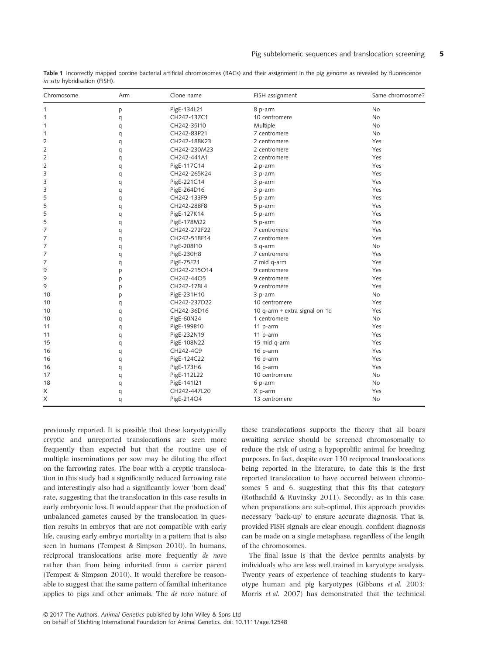Table 1 Incorrectly mapped porcine bacterial artificial chromosomes (BACs) and their assignment in the pig genome as revealed by fluorescence in situ hybridisation (FISH).

| Arm<br>Chromosome |   | Clone name   | FISH assignment                 | Same chromosome? |  |  |
|-------------------|---|--------------|---------------------------------|------------------|--|--|
| 1                 | p | PigE-134L21  | 8 p-arm                         | No               |  |  |
| 1                 | q | CH242-137C1  | 10 centromere                   | <b>No</b>        |  |  |
| 1                 | q | CH242-35I10  | Multiple                        | No               |  |  |
| 1                 | q | CH242-83P21  | 7 centromere                    | No               |  |  |
| $\overline{2}$    | q | CH242-188K23 | 2 centromere                    | Yes              |  |  |
| 2                 | q | CH242-230M23 | 2 centromere                    | Yes              |  |  |
| $\overline{2}$    | q | CH242-441A1  | 2 centromere                    | Yes              |  |  |
| 2                 | q | PigE-117G14  | 2 p-arm                         | Yes              |  |  |
| 3                 | q | CH242-265K24 | 3 p-arm                         | Yes              |  |  |
| 3                 | q | PigE-221G14  | 3 p-arm                         | Yes              |  |  |
| 3                 | q | PigE-264D16  | 3 p-arm                         | Yes              |  |  |
| 5                 | q | CH242-133F9  | 5 p-arm                         | Yes              |  |  |
| 5                 | q | CH242-288F8  | 5 p-arm                         | Yes              |  |  |
| 5                 | q | PigE-127K14  | 5 p-arm                         | Yes              |  |  |
| 5                 | q | PigE-178M22  | 5 p-arm                         | Yes              |  |  |
| 7                 | q | CH242-272F22 | 7 centromere                    | Yes              |  |  |
| 7                 | q | CH242-518F14 | 7 centromere                    | Yes              |  |  |
| 7                 | q | PigE-208I10  | 3 q-arm                         | <b>No</b>        |  |  |
| 7                 | q | PigE-230H8   | 7 centromere                    | Yes              |  |  |
| 7                 | q | PigE-75E21   | 7 mid q-arm                     | Yes              |  |  |
| 9                 | p | CH242-215O14 | 9 centromere                    | Yes              |  |  |
| 9                 | p | CH242-44O5   | 9 centromere                    | Yes              |  |  |
| 9                 | p | CH242-178L4  | 9 centromere                    | Yes              |  |  |
| 10                | p | PigE-231H10  | 3 p-arm                         | No               |  |  |
| 10                | q | CH242-237D22 | 10 centromere                   | Yes              |  |  |
| 10                | q | CH242-36D16  | 10 q-arm + extra signal on $1q$ | Yes              |  |  |
| 10                | q | PigE-60N24   | 1 centromere                    | No               |  |  |
| 11                | q | PigE-199B10  | 11 p-arm                        | Yes              |  |  |
| 11                | q | PigE-232N19  | 11 p-arm                        | Yes              |  |  |
| 15                | q | PigE-108N22  | 15 mid q-arm                    | Yes              |  |  |
| 16                | q | CH242-4G9    | 16 p-arm                        | Yes              |  |  |
| 16                | q | PigE-124C22  | 16 p-arm                        | Yes              |  |  |
| 16                | q | PigE-173H6   | 16 p-arm                        | Yes              |  |  |
| 17                | q | PigE-112L22  | 10 centromere                   | No               |  |  |
| 18                | q | PigE-141l21  | 6 p-arm                         | No               |  |  |
| X                 | q | CH242-447L20 | X p-arm                         | Yes              |  |  |
| X                 | q | PigE-214O4   | 13 centromere                   | No               |  |  |

previously reported. It is possible that these karyotypically cryptic and unreported translocations are seen more frequently than expected but that the routine use of multiple inseminations per sow may be diluting the effect on the farrowing rates. The boar with a cryptic translocation in this study had a significantly reduced farrowing rate and interestingly also had a significantly lower 'born dead' rate, suggesting that the translocation in this case results in early embryonic loss. It would appear that the production of unbalanced gametes caused by the translocation in question results in embryos that are not compatible with early life, causing early embryo mortality in a pattern that is also seen in humans (Tempest & Simpson 2010). In humans, reciprocal translocations arise more frequently *de novo* rather than from being inherited from a carrier parent (Tempest & Simpson 2010). It would therefore be reasonable to suggest that the same pattern of familial inheritance applies to pigs and other animals. The *de novo* nature of

these translocations supports the theory that all boars awaiting service should be screened chromosomally to reduce the risk of using a hypoprolific animal for breeding purposes. In fact, despite over 130 reciprocal translocations being reported in the literature, to date this is the first reported translocation to have occurred between chromosomes 5 and 6, suggesting that this fits that category (Rothschild & Ruvinsky 2011). Secondly, as in this case, when preparations are sub-optimal, this approach provides necessary 'back-up' to ensure accurate diagnosis. That is, provided FISH signals are clear enough, confident diagnosis can be made on a single metaphase, regardless of the length of the chromosomes.

The final issue is that the device permits analysis by individuals who are less well trained in karyotype analysis. Twenty years of experience of teaching students to karyotype human and pig karyotypes (Gibbons *et al.* 2003; Morris *et al.* 2007) has demonstrated that the technical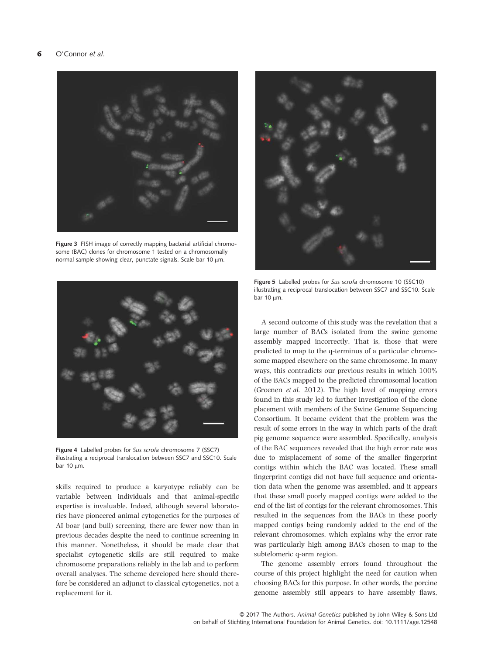

Figure 3 FISH image of correctly mapping bacterial artificial chromosome (BAC) clones for chromosome 1 tested on a chromosomally normal sample showing clear, punctate signals. Scale bar 10  $\mu$ m.



Figure 4 Labelled probes for Sus scrofa chromosome 7 (SSC7) illustrating a reciprocal translocation between SSC7 and SSC10. Scale  $bar 10 \text{ nm}$ 

skills required to produce a karyotype reliably can be variable between individuals and that animal-specific expertise is invaluable. Indeed, although several laboratories have pioneered animal cytogenetics for the purposes of AI boar (and bull) screening, there are fewer now than in previous decades despite the need to continue screening in this manner. Nonetheless, it should be made clear that specialist cytogenetic skills are still required to make chromosome preparations reliably in the lab and to perform overall analyses. The scheme developed here should therefore be considered an adjunct to classical cytogenetics, not a replacement for it.



Figure 5 Labelled probes for Sus scrofa chromosome 10 (SSC10) illustrating a reciprocal translocation between SSC7 and SSC10. Scale bar 10 um.

A second outcome of this study was the revelation that a large number of BACs isolated from the swine genome assembly mapped incorrectly. That is, those that were predicted to map to the q-terminus of a particular chromosome mapped elsewhere on the same chromosome. In many ways, this contradicts our previous results in which 100% of the BACs mapped to the predicted chromosomal location (Groenen *et al.* 2012). The high level of mapping errors found in this study led to further investigation of the clone placement with members of the Swine Genome Sequencing Consortium. It became evident that the problem was the result of some errors in the way in which parts of the draft pig genome sequence were assembled. Specifically, analysis of the BAC sequences revealed that the high error rate was due to misplacement of some of the smaller fingerprint contigs within which the BAC was located. These small fingerprint contigs did not have full sequence and orientation data when the genome was assembled, and it appears that these small poorly mapped contigs were added to the end of the list of contigs for the relevant chromosomes. This resulted in the sequences from the BACs in these poorly mapped contigs being randomly added to the end of the relevant chromosomes, which explains why the error rate was particularly high among BACs chosen to map to the subtelomeric q-arm region.

The genome assembly errors found throughout the course of this project highlight the need for caution when choosing BACs for this purpose. In other words, the porcine genome assembly still appears to have assembly flaws,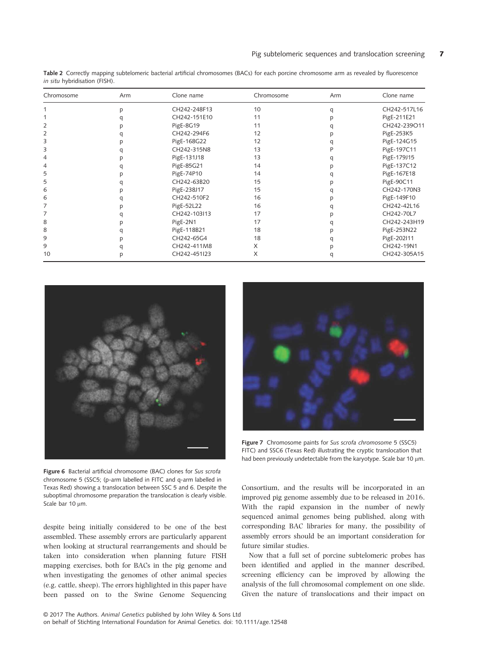|  |                                      | Table 2 Correctly mapping subtelomeric bacterial artificial chromosomes (BACs) for each porcine chromosome arm as revealed by fluorescence |  |  |  |  |  |  |
|--|--------------------------------------|--------------------------------------------------------------------------------------------------------------------------------------------|--|--|--|--|--|--|
|  | <i>in situ</i> hybridisation (FISH). |                                                                                                                                            |  |  |  |  |  |  |

| Arm<br>Chromosome |   | Clone name   | Chromosome | Arm | Clone name   |  |
|-------------------|---|--------------|------------|-----|--------------|--|
|                   | D | CH242-248F13 | 10         | q   | CH242-517L16 |  |
|                   |   | CH242-151E10 | 11         | n   | PigE-211E21  |  |
|                   |   | PigE-8G19    | 11         |     | CH242-239O11 |  |
| 2                 |   | CH242-294F6  | 12         |     | PigE-253K5   |  |
| 3                 |   | PigE-168G22  | 12         |     | PigE-124G15  |  |
| 3                 |   | CH242-315N8  | 13         |     | PigE-197C11  |  |
| 4                 |   | PigE-131J18  | 13         |     | PigE-179J15  |  |
| 4                 |   | PigE-85G21   | 14         |     | PigE-137C12  |  |
| 5                 |   | PigE-74P10   | 14         |     | PigE-167E18  |  |
| 5                 |   | CH242-63B20  | 15         |     | PigE-90C11   |  |
| 6                 |   | PigE-238J17  | 15         |     | CH242-170N3  |  |
| 6                 |   | CH242-510F2  | 16         | n   | PigE-149F10  |  |
|                   |   | PigE-52L22   | 16         |     | CH242-42L16  |  |
|                   |   | CH242-103I13 | 17         |     | CH242-70L7   |  |
| 8                 |   | PigE-2N1     | 17         |     | CH242-243H19 |  |
| 8                 |   | PigE-118B21  | 18         |     | PigE-253N22  |  |
| 9                 |   | CH242-65G4   | 18         |     | PigE-202111  |  |
| 9                 |   | CH242-411M8  | X          |     | CH242-19N1   |  |
| 10                |   | CH242-451I23 | X          |     | CH242-305A15 |  |



Figure 6 Bacterial artificial chromosome (BAC) clones for Sus scrofa chromosome 5 (SSC5; (p-arm labelled in FITC and q-arm labelled in Texas Red) showing a translocation between SSC 5 and 6. Despite the suboptimal chromosome preparation the translocation is clearly visible. Scale bar 10 µm.

despite being initially considered to be one of the best assembled. These assembly errors are particularly apparent when looking at structural rearrangements and should be taken into consideration when planning future FISH mapping exercises, both for BACs in the pig genome and when investigating the genomes of other animal species (e.g. cattle, sheep). The errors highlighted in this paper have been passed on to the Swine Genome Sequencing



Figure 7 Chromosome paints for Sus scrofa chromosome 5 (SSC5) FITC) and SSC6 (Texas Red) illustrating the cryptic translocation that had been previously undetectable from the karyotype. Scale bar 10 µm.

Consortium, and the results will be incorporated in an improved pig genome assembly due to be released in 2016. With the rapid expansion in the number of newly sequenced animal genomes being published, along with corresponding BAC libraries for many, the possibility of assembly errors should be an important consideration for future similar studies.

Now that a full set of porcine subtelomeric probes has been identified and applied in the manner described, screening efficiency can be improved by allowing the analysis of the full chromosomal complement on one slide. Given the nature of translocations and their impact on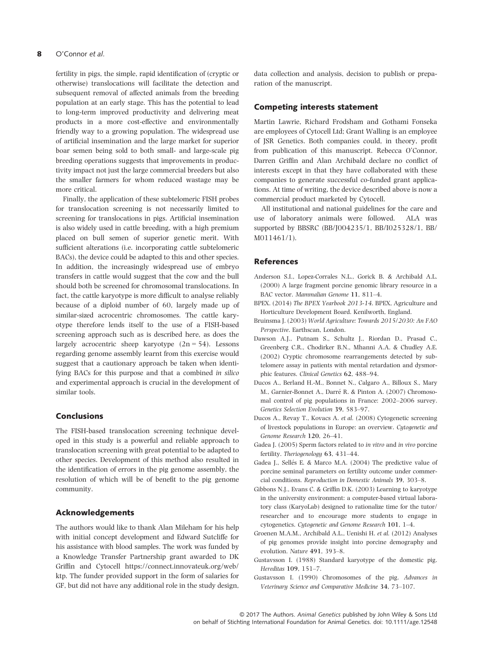#### 8 O'Connor et al.

fertility in pigs, the simple, rapid identification of (cryptic or otherwise) translocations will facilitate the detection and subsequent removal of affected animals from the breeding population at an early stage. This has the potential to lead to long-term improved productivity and delivering meat products in a more cost-effective and environmentally friendly way to a growing population. The widespread use of artificial insemination and the large market for superior boar semen being sold to both small- and large-scale pig breeding operations suggests that improvements in productivity impact not just the large commercial breeders but also the smaller farmers for whom reduced wastage may be more critical.

Finally, the application of these subtelomeric FISH probes for translocation screening is not necessarily limited to screening for translocations in pigs. Artificial insemination is also widely used in cattle breeding, with a high premium placed on bull semen of superior genetic merit. With sufficient alterations (i.e. incorporating cattle subtelomeric BACs), the device could be adapted to this and other species. In addition, the increasingly widespread use of embryo transfers in cattle would suggest that the cow and the bull should both be screened for chromosomal translocations. In fact, the cattle karyotype is more difficult to analyse reliably because of a diploid number of 60, largely made up of similar-sized acrocentric chromosomes. The cattle karyotype therefore lends itself to the use of a FISH-based screening approach such as is described here, as does the largely acrocentric sheep karyotype  $(2n = 54)$ . Lessons regarding genome assembly learnt from this exercise would suggest that a cautionary approach be taken when identifying BACs for this purpose and that a combined *in silico* and experimental approach is crucial in the development of similar tools.

#### Conclusions

The FISH-based translocation screening technique developed in this study is a powerful and reliable approach to translocation screening with great potential to be adapted to other species. Development of this method also resulted in the identification of errors in the pig genome assembly, the resolution of which will be of benefit to the pig genome community.

#### Acknowledgements

The authors would like to thank Alan Mileham for his help with initial concept development and Edward Sutcliffe for his assistance with blood samples. The work was funded by a Knowledge Transfer Partnership grant awarded to DK Griffin and Cytocell [https://connect.innovateuk.org/web/](https://connect.innovateuk.org/web/ktp) [ktp](https://connect.innovateuk.org/web/ktp). The funder provided support in the form of salaries for GF, but did not have any additional role in the study design,

data collection and analysis, decision to publish or preparation of the manuscript.

#### Competing interests statement

Martin Lawrie, Richard Frodsham and Gothami Fonseka are employees of Cytocell Ltd; Grant Walling is an employee of JSR Genetics. Both companies could, in theory, profit from publication of this manuscript. Rebecca O'Connor, Darren Griffin and Alan Archibald declare no conflict of interests except in that they have collaborated with these companies to generate successful co-funded grant applications. At time of writing, the device described above is now a commercial product marketed by Cytocell.

All institutional and national guidelines for the care and use of laboratory animals were followed. ALA was supported by BBSRC (BB/J004235/1, BB/I025328/1, BB/ M011461/1).

#### References

- Anderson S.I., Lopez-Corrales N.L., Gorick B. & Archibald A.L. (2000) A large fragment porcine genomic library resource in a BAC vector. *Mammalian Genome* 11, 811–4.
- BPEX. (2014) *The BPEX Yearbook 2013-14*. BPEX, Agriculture and Horticulture Development Board. Kenilworth, England.
- Bruinsma J. (2003) *World Agriculture: Towards 2015/2030: An FAO Perspective*. Earthscan, London.
- Dawson A.J., Putnam S., Schultz J., Riordan D., Prasad C., Greenberg C.R., Chodirker B.N., Mhanni A.A. & Chudley A.E. (2002) Cryptic chromosome rearrangements detected by subtelomere assay in patients with mental retardation and dysmorphic features. *Clinical Genetics* 62, 488–94.
- Ducos A., Berland H.-M., Bonnet N., Calgaro A., Billoux S., Mary M., Garnier-Bonnet A., Darré R. & Pinton A. (2007) Chromosomal control of pig populations in France: 2002–2006 survey. *Genetics Selection Evolution* 39, 583–97.
- Ducos A., Revay T., Kovacs A. *et al.* (2008) Cytogenetic screening of livestock populations in Europe: an overview. *Cytogenetic and Genome Research* 120, 26–41.
- Gadea J. (2005) Sperm factors related to *in vitro* and *in vivo* porcine fertility. *Theriogenology* 63, 431–44.
- Gadea J., Sellés E. & Marco M.A. (2004) The predictive value of porcine seminal parameters on fertility outcome under commercial conditions. *Reproduction in Domestic Animals* 39, 303–8.
- Gibbons N.J., Evans C. & Griffin D.K. (2003) Learning to karyotype in the university environment: a computer-based virtual laboratory class (KaryoLab) designed to rationalize time for the tutor/ researcher and to encourage more students to engage in cytogenetics. *Cytogenetic and Genome Research* 101, 1–4.
- Groenen M.A.M., Archibald A.L., Uenishi H. *et al.* (2012) Analyses of pig genomes provide insight into porcine demography and evolution. *Nature* 491, 393–8.
- Gustavsson I. (1988) Standard karyotype of the domestic pig. *Hereditas* 109, 151–7.
- Gustavsson I. (1990) Chromosomes of the pig. *Advances in Veterinary Science and Comparative Medicine* 34, 73–107.